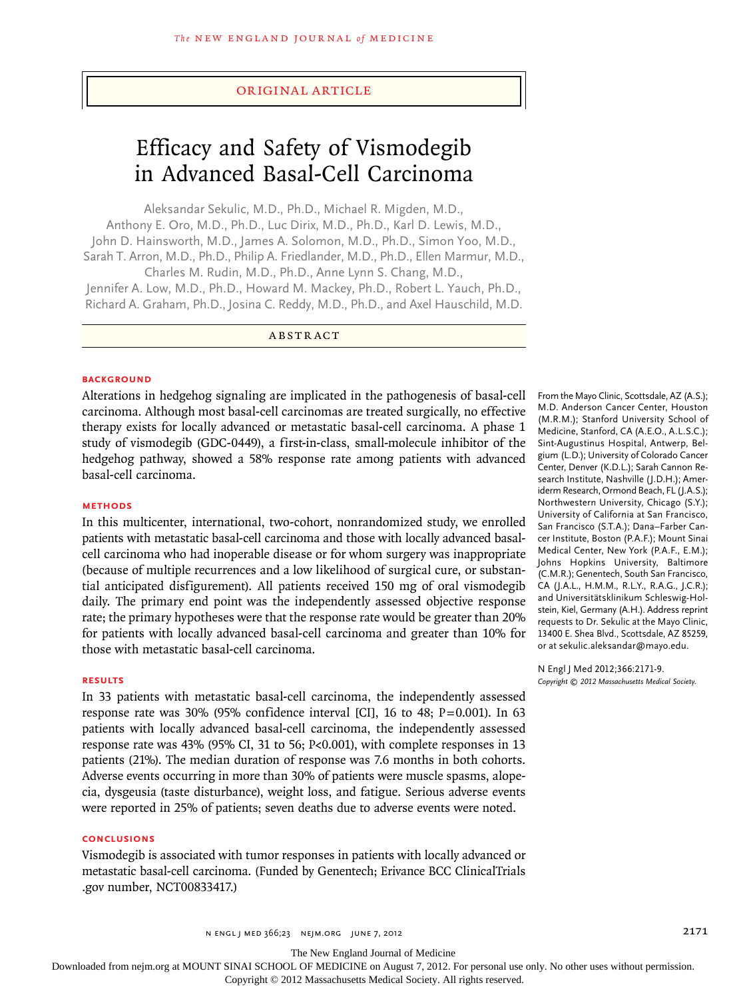#### original article

# Efficacy and Safety of Vismodegib in Advanced Basal-Cell Carcinoma

Aleksandar Sekulic, M.D., Ph.D., Michael R. Migden, M.D., Anthony E. Oro, M.D., Ph.D., Luc Dirix, M.D., Ph.D., Karl D. Lewis, M.D., John D. Hainsworth, M.D., James A. Solomon, M.D., Ph.D., Simon Yoo, M.D., Sarah T. Arron, M.D., Ph.D., Philip A. Friedlander, M.D., Ph.D., Ellen Marmur, M.D., Charles M. Rudin, M.D., Ph.D., Anne Lynn S. Chang, M.D., Jennifer A. Low, M.D., Ph.D., Howard M. Mackey, Ph.D., Robert L. Yauch, Ph.D.,

Richard A. Graham, Ph.D., Josina C. Reddy, M.D., Ph.D., and Axel Hauschild, M.D.

**ABSTRACT** 

#### **BACKGROUND**

Alterations in hedgehog signaling are implicated in the pathogenesis of basal-cell carcinoma. Although most basal-cell carcinomas are treated surgically, no effective therapy exists for locally advanced or metastatic basal-cell carcinoma. A phase 1 study of vismodegib (GDC-0449), a first-in-class, small-molecule inhibitor of the hedgehog pathway, showed a 58% response rate among patients with advanced basal-cell carcinoma.

#### **METHODS**

In this multicenter, international, two-cohort, nonrandomized study, we enrolled patients with metastatic basal-cell carcinoma and those with locally advanced basalcell carcinoma who had inoperable disease or for whom surgery was inappropriate (because of multiple recurrences and a low likelihood of surgical cure, or substantial anticipated disfigurement). All patients received 150 mg of oral vismodegib daily. The primary end point was the independently assessed objective response rate; the primary hypotheses were that the response rate would be greater than 20% for patients with locally advanced basal-cell carcinoma and greater than 10% for those with metastatic basal-cell carcinoma.

## **RESULTS**

In 33 patients with metastatic basal-cell carcinoma, the independently assessed response rate was 30% (95% confidence interval [CI], 16 to 48;  $P=0.001$ ). In 63 patients with locally advanced basal-cell carcinoma, the independently assessed response rate was 43% (95% CI, 31 to 56; P<0.001), with complete responses in 13 patients (21%). The median duration of response was 7.6 months in both cohorts. Adverse events occurring in more than 30% of patients were muscle spasms, alopecia, dysgeusia (taste disturbance), weight loss, and fatigue. Serious adverse events were reported in 25% of patients; seven deaths due to adverse events were noted.

## **CONCLUSIONS**

Vismodegib is associated with tumor responses in patients with locally advanced or metastatic basal-cell carcinoma. (Funded by Genentech; Erivance BCC ClinicalTrials .gov number, NCT00833417.)

From the Mayo Clinic, Scottsdale, AZ (A.S.); M.D. Anderson Cancer Center, Houston (M.R.M.); Stanford University School of Medicine, Stanford, CA (A.E.O., A.L.S.C.); Sint-Augustinus Hospital, Antwerp, Belgium (L.D.); University of Colorado Cancer Center, Denver (K.D.L.); Sarah Cannon Research Institute, Nashville (J.D.H.); Ameriderm Research, Ormond Beach, FL (J.A.S.); Northwestern University, Chicago (S.Y.); University of California at San Francisco, San Francisco (S.T.A.); Dana–Farber Cancer Institute, Boston (P.A.F.); Mount Sinai Medical Center, New York (P.A.F., E.M.); Johns Hopkins University, Baltimore (C.M.R.); Genentech, South San Francisco, CA (J.A.L., H.M.M., R.L.Y., R.A.G., J.C.R.); and Universitätsklinikum Schleswig-Holstein, Kiel, Germany (A.H.). Address reprint requests to Dr. Sekulic at the Mayo Clinic, 13400 E. Shea Blvd., Scottsdale, AZ 85259, or at sekulic.aleksandar@mayo.edu.

N Engl J Med 2012;366:2171-9. *Copyright © 2012 Massachusetts Medical Society.*

The New England Journal of Medicine

Downloaded from nejm.org at MOUNT SINAI SCHOOL OF MEDICINE on August 7, 2012. For personal use only. No other uses without permission.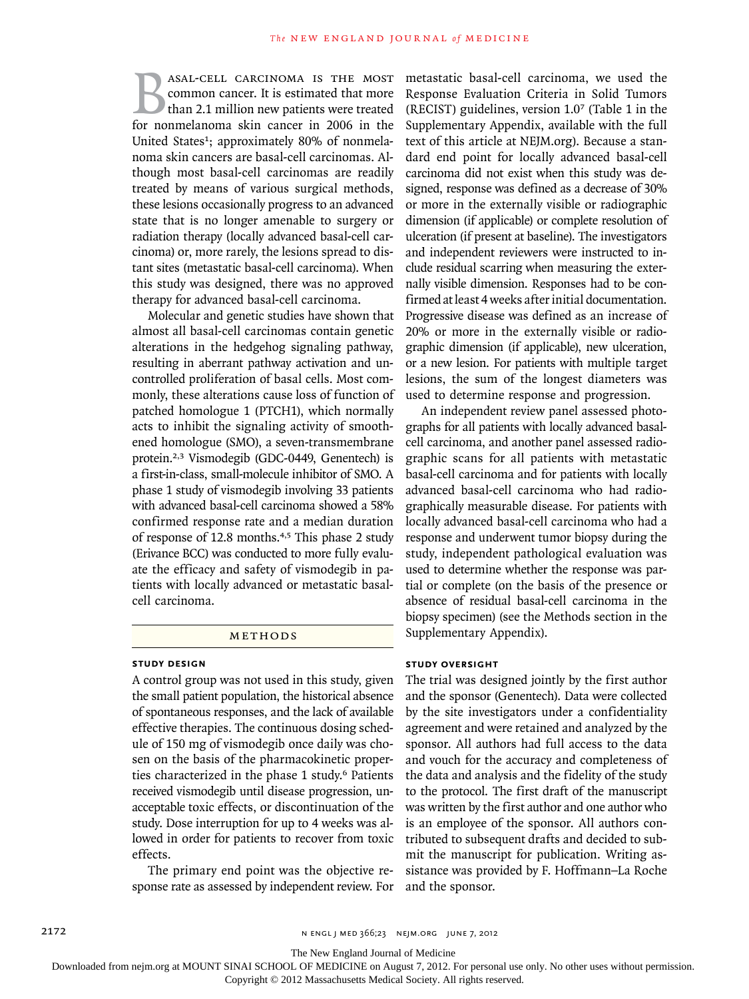**Basal-CELL CARCINOMA IS THE MOST common cancer.** It is estimated that more than 2.1 million new patients were treated for nonmelanoma skin cancer in 2006 in the common cancer. It is estimated that more than 2.1 million new patients were treated United States<sup>1</sup>; approximately 80% of nonmelanoma skin cancers are basal-cell carcinomas. Although most basal-cell carcinomas are readily treated by means of various surgical methods, these lesions occasionally progress to an advanced state that is no longer amenable to surgery or radiation therapy (locally advanced basal-cell carcinoma) or, more rarely, the lesions spread to distant sites (metastatic basal-cell carcinoma). When this study was designed, there was no approved therapy for advanced basal-cell carcinoma.

Molecular and genetic studies have shown that almost all basal-cell carcinomas contain genetic alterations in the hedgehog signaling pathway, resulting in aberrant pathway activation and uncontrolled proliferation of basal cells. Most commonly, these alterations cause loss of function of patched homologue 1 (PTCH1), which normally acts to inhibit the signaling activity of smoothened homologue (SMO), a seven-transmembrane protein.2,3 Vismodegib (GDC-0449, Genentech) is a first-in-class, small-molecule inhibitor of SMO. A phase 1 study of vismodegib involving 33 patients with advanced basal-cell carcinoma showed a 58% confirmed response rate and a median duration of response of 12.8 months.4,5 This phase 2 study (Erivance BCC) was conducted to more fully evaluate the efficacy and safety of vismodegib in patients with locally advanced or metastatic basalcell carcinoma.

#### ME THODS

## **STUDY DESIGN**

A control group was not used in this study, given the small patient population, the historical absence of spontaneous responses, and the lack of available effective therapies. The continuous dosing schedule of 150 mg of vismodegib once daily was chosen on the basis of the pharmacokinetic properties characterized in the phase 1 study.6 Patients received vismodegib until disease progression, unacceptable toxic effects, or discontinuation of the study. Dose interruption for up to 4 weeks was allowed in order for patients to recover from toxic effects.

The primary end point was the objective response rate as assessed by independent review. For metastatic basal-cell carcinoma, we used the Response Evaluation Criteria in Solid Tumors (RECIST) guidelines, version 1.0<sup>7</sup> (Table 1 in the Supplementary Appendix, available with the full text of this article at NEJM.org). Because a standard end point for locally advanced basal-cell carcinoma did not exist when this study was designed, response was defined as a decrease of 30% or more in the externally visible or radiographic dimension (if applicable) or complete resolution of ulceration (if present at baseline). The investigators and independent reviewers were instructed to include residual scarring when measuring the externally visible dimension. Responses had to be confirmed at least 4 weeks after initial documentation. Progressive disease was defined as an increase of 20% or more in the externally visible or radiographic dimension (if applicable), new ulceration, or a new lesion. For patients with multiple target lesions, the sum of the longest diameters was used to determine response and progression.

An independent review panel assessed photographs for all patients with locally advanced basalcell carcinoma, and another panel assessed radiographic scans for all patients with metastatic basal-cell carcinoma and for patients with locally advanced basal-cell carcinoma who had radiographically measurable disease. For patients with locally advanced basal-cell carcinoma who had a response and underwent tumor biopsy during the study, independent pathological evaluation was used to determine whether the response was partial or complete (on the basis of the presence or absence of residual basal-cell carcinoma in the biopsy specimen) (see the Methods section in the Supplementary Appendix).

# **STUDY OVERSIGHT**

The trial was designed jointly by the first author and the sponsor (Genentech). Data were collected by the site investigators under a confidentiality agreement and were retained and analyzed by the sponsor. All authors had full access to the data and vouch for the accuracy and completeness of the data and analysis and the fidelity of the study to the protocol. The first draft of the manuscript was written by the first author and one author who is an employee of the sponsor. All authors contributed to subsequent drafts and decided to submit the manuscript for publication. Writing assistance was provided by F. Hoffmann–La Roche and the sponsor.

2172 **N ENGL J MED 366;23 NEIM.ORG JUNE 7, 2012** 

The New England Journal of Medicine

Downloaded from nejm.org at MOUNT SINAI SCHOOL OF MEDICINE on August 7, 2012. For personal use only. No other uses without permission.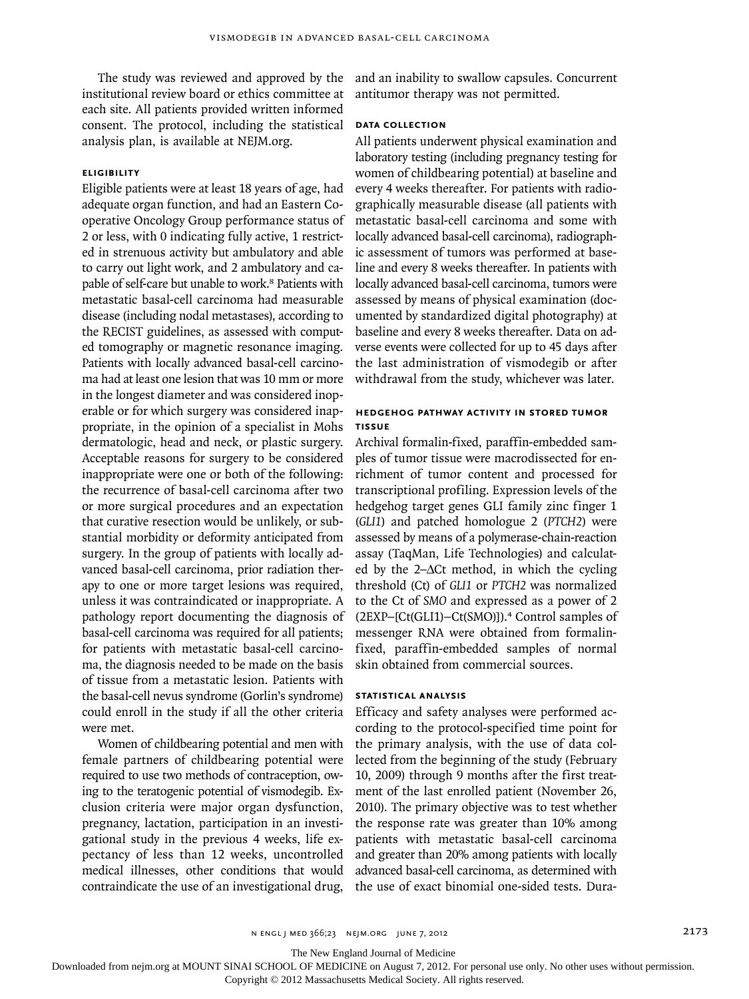The study was reviewed and approved by the institutional review board or ethics committee at each site. All patients provided written informed consent. The protocol, including the statistical analysis plan, is available at NEJM.org.

## **ELIGIBILITY**

Eligible patients were at least 18 years of age, had adequate organ function, and had an Eastern Cooperative Oncology Group performance status of 2 or less, with 0 indicating fully active, 1 restricted in strenuous activity but ambulatory and able to carry out light work, and 2 ambulatory and capable of self-care but unable to work.<sup>8</sup> Patients with metastatic basal-cell carcinoma had measurable disease (including nodal metastases), according to the RECIST guidelines, as assessed with computed tomography or magnetic resonance imaging. Patients with locally advanced basal-cell carcinoma had at least one lesion that was 10 mm or more in the longest diameter and was considered inoperable or for which surgery was considered inappropriate, in the opinion of a specialist in Mohs dermatologic, head and neck, or plastic surgery. Acceptable reasons for surgery to be considered inappropriate were one or both of the following: the recurrence of basal-cell carcinoma after two or more surgical procedures and an expectation that curative resection would be unlikely, or substantial morbidity or deformity anticipated from surgery. In the group of patients with locally advanced basal-cell carcinoma, prior radiation therapy to one or more target lesions was required, unless it was contraindicated or inappropriate. A pathology report documenting the diagnosis of basal-cell carcinoma was required for all patients; for patients with metastatic basal-cell carcinoma, the diagnosis needed to be made on the basis of tissue from a metastatic lesion. Patients with the basal-cell nevus syndrome (Gorlin's syndrome) could enroll in the study if all the other criteria were met.

Women of childbearing potential and men with female partners of childbearing potential were required to use two methods of contraception, owing to the teratogenic potential of vismodegib. Exclusion criteria were major organ dysfunction, pregnancy, lactation, participation in an investigational study in the previous 4 weeks, life expectancy of less than 12 weeks, uncontrolled medical illnesses, other conditions that would contraindicate the use of an investigational drug,

and an inability to swallow capsules. Concurrent antitumor therapy was not permitted.

#### **DATA COLLECTION**

All patients underwent physical examination and laboratory testing (including pregnancy testing for women of childbearing potential) at baseline and every 4 weeks thereafter. For patients with radiographically measurable disease (all patients with metastatic basal-cell carcinoma and some with locally advanced basal-cell carcinoma), radiographic assessment of tumors was performed at baseline and every 8 weeks thereafter. In patients with locally advanced basal-cell carcinoma, tumors were assessed by means of physical examination (documented by standardized digital photography) at baseline and every 8 weeks thereafter. Data on adverse events were collected for up to 45 days after the last administration of vismodegib or after withdrawal from the study, whichever was later.

# **HEDGEHOG PATHWAY activity IN STORED TUMOR TISSUE**

Archival formalin-fixed, paraffin-embedded samples of tumor tissue were macrodissected for enrichment of tumor content and processed for transcriptional profiling. Expression levels of the hedgehog target genes GLI family zinc finger 1 (*GLI1*) and patched homologue 2 (*PTCH2*) were assessed by means of a polymerase-chain-reaction assay (TaqMan, Life Technologies) and calculated by the 2–ΔCt method, in which the cycling threshold (Ct) of *GLI1* or *PTCH2* was normalized to the Ct of *SMO* and expressed as a power of 2 (2EXP−[Ct(GLI1)−Ct(SMO)]).4 Control samples of messenger RNA were obtained from formalinfixed, paraffin-embedded samples of normal skin obtained from commercial sources.

#### **STATISTICAL ANALYSIS**

Efficacy and safety analyses were performed according to the protocol-specified time point for the primary analysis, with the use of data collected from the beginning of the study (February 10, 2009) through 9 months after the first treatment of the last enrolled patient (November 26, 2010). The primary objective was to test whether the response rate was greater than 10% among patients with metastatic basal-cell carcinoma and greater than 20% among patients with locally advanced basal-cell carcinoma, as determined with the use of exact binomial one-sided tests. Dura-

The New England Journal of Medicine

Downloaded from nejm.org at MOUNT SINAI SCHOOL OF MEDICINE on August 7, 2012. For personal use only. No other uses without permission.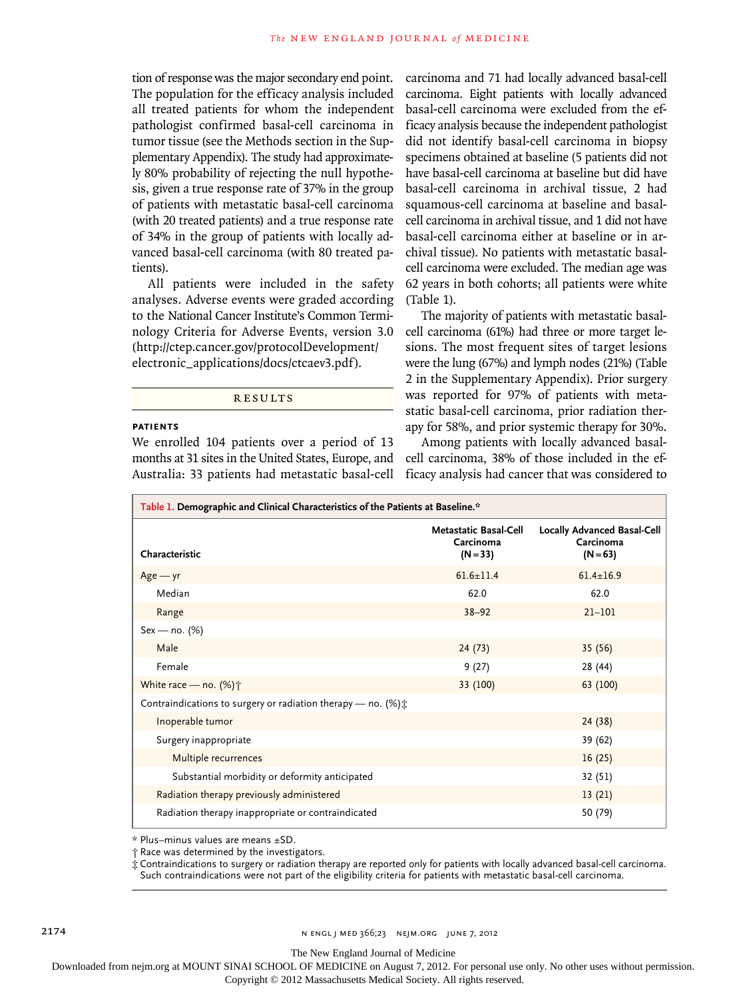tion of response was the major secondary end point. The population for the efficacy analysis included all treated patients for whom the independent pathologist confirmed basal-cell carcinoma in tumor tissue (see the Methods section in the Supplementary Appendix). The study had approximately 80% probability of rejecting the null hypothesis, given a true response rate of 37% in the group of patients with metastatic basal-cell carcinoma (with 20 treated patients) and a true response rate of 34% in the group of patients with locally advanced basal-cell carcinoma (with 80 treated patients).

All patients were included in the safety analyses. Adverse events were graded according to the National Cancer Institute's Common Terminology Criteria for Adverse Events, version 3.0 (http://ctep.cancer.gov/protocolDevelopment/ electronic\_applications/docs/ctcaev3.pdf).

## R ESULT S

#### **PATIENTS**

We enrolled 104 patients over a period of 13 months at 31 sites in the United States, Europe, and Australia: 33 patients had metastatic basal-cell

carcinoma and 71 had locally advanced basal-cell carcinoma. Eight patients with locally advanced basal-cell carcinoma were excluded from the efficacy analysis because the independent pathologist did not identify basal-cell carcinoma in biopsy specimens obtained at baseline (5 patients did not have basal-cell carcinoma at baseline but did have basal-cell carcinoma in archival tissue, 2 had squamous-cell carcinoma at baseline and basalcell carcinoma in archival tissue, and 1 did not have basal-cell carcinoma either at baseline or in archival tissue). No patients with metastatic basalcell carcinoma were excluded. The median age was 62 years in both cohorts; all patients were white (Table 1).

The majority of patients with metastatic basalcell carcinoma (61%) had three or more target lesions. The most frequent sites of target lesions were the lung (67%) and lymph nodes (21%) (Table 2 in the Supplementary Appendix). Prior surgery was reported for 97% of patients with metastatic basal-cell carcinoma, prior radiation therapy for 58%, and prior systemic therapy for 30%.

Among patients with locally advanced basalcell carcinoma, 38% of those included in the efficacy analysis had cancer that was considered to

| Table 1. Demographic and Clinical Characteristics of the Patients at Baseline.* |                                                |                                                               |  |  |  |
|---------------------------------------------------------------------------------|------------------------------------------------|---------------------------------------------------------------|--|--|--|
| Characteristic                                                                  | Metastatic Basal-Cell<br>Carcinoma<br>$(N=33)$ | <b>Locally Advanced Basal-Cell</b><br>Carcinoma<br>$(N = 63)$ |  |  |  |
| $Age - yr$                                                                      | $61.6 \pm 11.4$                                | $61.4 \pm 16.9$                                               |  |  |  |
| Median                                                                          | 62.0                                           | 62.0                                                          |  |  |  |
| Range                                                                           | $38 - 92$                                      | $21 - 101$                                                    |  |  |  |
| $Sex - no. (%)$                                                                 |                                                |                                                               |  |  |  |
| Male                                                                            | 24(73)                                         | 35 (56)                                                       |  |  |  |
| Female                                                                          | 9(27)                                          | 28 (44)                                                       |  |  |  |
| White race — no. $(\%)\uparrow$                                                 | 33 (100)                                       | 63 (100)                                                      |  |  |  |
| Contraindications to surgery or radiation therapy — no. $(\%)$ :                |                                                |                                                               |  |  |  |
| Inoperable tumor                                                                |                                                | 24(38)                                                        |  |  |  |
| Surgery inappropriate                                                           |                                                | 39 (62)                                                       |  |  |  |
| Multiple recurrences                                                            |                                                | 16(25)                                                        |  |  |  |
| Substantial morbidity or deformity anticipated                                  |                                                | 32 (51)                                                       |  |  |  |
| Radiation therapy previously administered                                       |                                                | 13(21)                                                        |  |  |  |
| Radiation therapy inappropriate or contraindicated                              |                                                | 50 (79)                                                       |  |  |  |

\* Plus–minus values are means ±SD.

† Race was determined by the investigators.

‡ Contraindications to surgery or radiation therapy are reported only for patients with locally advanced basal-cell carcinoma. Such contraindications were not part of the eligibility criteria for patients with metastatic basal-cell carcinoma.

The New England Journal of Medicine

Downloaded from nejm.org at MOUNT SINAI SCHOOL OF MEDICINE on August 7, 2012. For personal use only. No other uses without permission.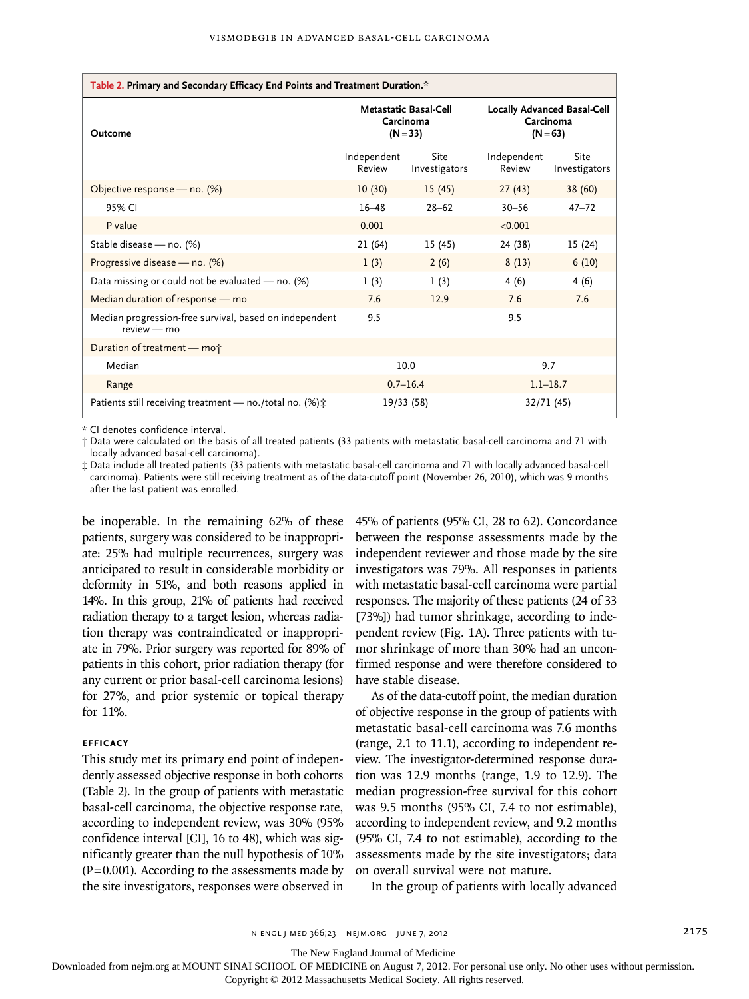| Table 2. Primary and Secondary Efficacy End Points and Treatment Duration.* |                                                         |                       |                                                               |                       |  |  |  |
|-----------------------------------------------------------------------------|---------------------------------------------------------|-----------------------|---------------------------------------------------------------|-----------------------|--|--|--|
| Outcome                                                                     | <b>Metastatic Basal-Cell</b><br>Carcinoma<br>$(N = 33)$ |                       | <b>Locally Advanced Basal-Cell</b><br>Carcinoma<br>$(N = 63)$ |                       |  |  |  |
|                                                                             | Independent<br>Review                                   | Site<br>Investigators | Independent<br>Review                                         | Site<br>Investigators |  |  |  |
| Objective response - no. (%)                                                | 10(30)                                                  | 15(45)                | 27(43)                                                        | 38 (60)               |  |  |  |
| 95% CI                                                                      | $16 - 48$                                               | $28 - 62$             | $30 - 56$                                                     | $47 - 72$             |  |  |  |
| P value                                                                     | 0.001                                                   |                       | < 0.001                                                       |                       |  |  |  |
| Stable disease - no. (%)                                                    | 21(64)                                                  | 15 (45)               | 24 (38)                                                       | 15 (24)               |  |  |  |
| Progressive disease - no. (%)                                               | 1(3)                                                    | 2(6)                  | 8(13)                                                         | 6(10)                 |  |  |  |
| Data missing or could not be evaluated - no. $(\%)$                         | 1(3)                                                    | 1(3)                  | 4(6)                                                          | 4(6)                  |  |  |  |
| Median duration of response - mo                                            | 7.6                                                     | 12.9                  | 7.6                                                           | 7.6                   |  |  |  |
| Median progression-free survival, based on independent<br>review — mo       | 9.5                                                     |                       | 9.5                                                           |                       |  |  |  |
| Duration of treatment — moj                                                 |                                                         |                       |                                                               |                       |  |  |  |
| Median                                                                      | 10.0                                                    |                       | 9.7                                                           |                       |  |  |  |
| Range                                                                       | $0.7 - 16.4$                                            |                       | $1.1 - 18.7$                                                  |                       |  |  |  |
| Patients still receiving treatment — no./total no. $(\%)$ :                 | 19/33 (58)                                              |                       | 32/71 (45)                                                    |                       |  |  |  |

\* CI denotes confidence interval.

† Data were calculated on the basis of all treated patients (33 patients with metastatic basal-cell carcinoma and 71 with locally advanced basal-cell carcinoma).

‡ Data include all treated patients (33 patients with metastatic basal-cell carcinoma and 71 with locally advanced basal-cell carcinoma). Patients were still receiving treatment as of the data-cutoff point (November 26, 2010), which was 9 months after the last patient was enrolled.

be inoperable. In the remaining 62% of these patients, surgery was considered to be inappropriate: 25% had multiple recurrences, surgery was anticipated to result in considerable morbidity or deformity in 51%, and both reasons applied in 14%. In this group, 21% of patients had received radiation therapy to a target lesion, whereas radiation therapy was contraindicated or inappropriate in 79%. Prior surgery was reported for 89% of patients in this cohort, prior radiation therapy (for any current or prior basal-cell carcinoma lesions) for 27%, and prior systemic or topical therapy for 11%.

## **EFFICACY**

This study met its primary end point of independently assessed objective response in both cohorts (Table 2). In the group of patients with metastatic basal-cell carcinoma, the objective response rate, according to independent review, was 30% (95% confidence interval [CI], 16 to 48), which was significantly greater than the null hypothesis of 10%  $(P=0.001)$ . According to the assessments made by the site investigators, responses were observed in

45% of patients (95% CI, 28 to 62). Concordance between the response assessments made by the independent reviewer and those made by the site investigators was 79%. All responses in patients with metastatic basal-cell carcinoma were partial responses. The majority of these patients (24 of 33 [73%]) had tumor shrinkage, according to independent review (Fig. 1A). Three patients with tumor shrinkage of more than 30% had an unconfirmed response and were therefore considered to have stable disease.

As of the data-cutoff point, the median duration of objective response in the group of patients with metastatic basal-cell carcinoma was 7.6 months (range, 2.1 to 11.1), according to independent review. The investigator-determined response duration was 12.9 months (range, 1.9 to 12.9). The median progression-free survival for this cohort was 9.5 months (95% CI, 7.4 to not estimable), according to independent review, and 9.2 months (95% CI, 7.4 to not estimable), according to the assessments made by the site investigators; data on overall survival were not mature.

In the group of patients with locally advanced

n engl j med 366;23 nejm.org june 7, 2012 2175

The New England Journal of Medicine

Downloaded from nejm.org at MOUNT SINAI SCHOOL OF MEDICINE on August 7, 2012. For personal use only. No other uses without permission.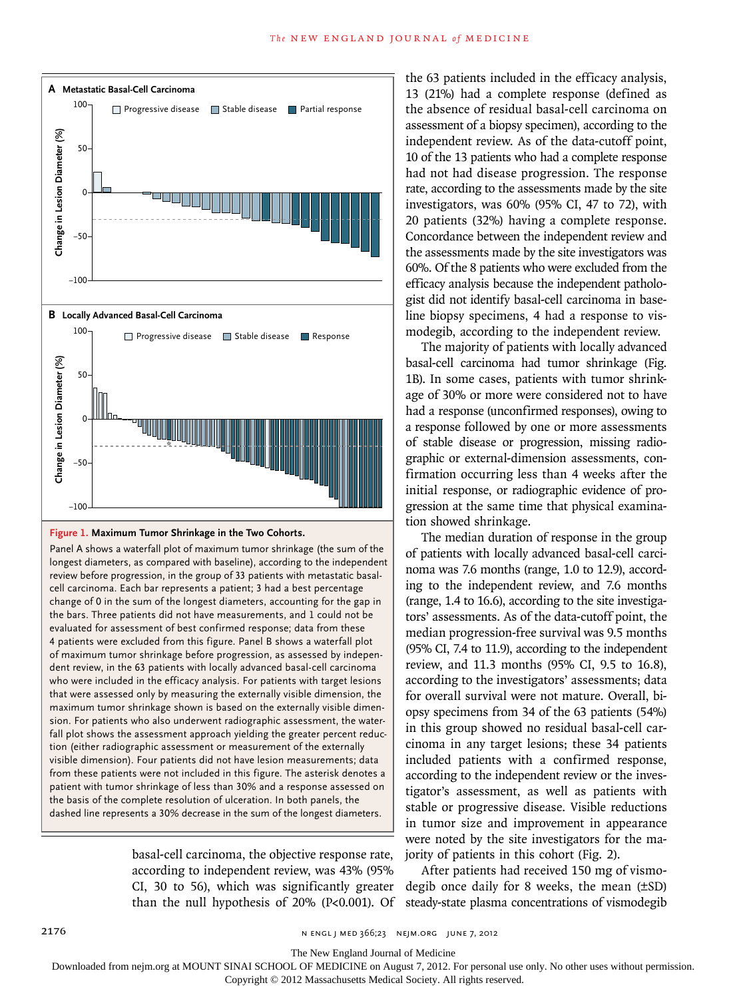

#### **Figure 1. Maximum Tumor Shrinkage in the Two Cohorts.**

Panel A shows a waterfall plot of maximum tumor shrinkage (the sum of the longest diameters, as compared with baseline), according to the independent review before progression, in the group of 33 patients with metastatic basalcell carcinoma. Each bar represents a patient; 3 had a best percentage change of 0 in the sum of the longest diameters, accounting for the gap in the bars. Three patients did not have measurements, and 1 could not be evaluated for assessment of best confirmed response; data from these 4 patients were excluded from this figure. Panel B shows a waterfall plot of maximum tumor shrinkage before progression, as assessed by independent review, in the 63 patients with locally advanced basal-cell carcinoma who were included in the efficacy analysis. For patients with target lesions that were assessed only by measuring the externally visible dimension, the maximum tumor shrinkage shown is based on the externally visible dimension. For patients who also underwent radiographic assessment, the waterfall plot shows the assessment approach yielding the greater percent reduction (either radiographic assessment or measurement of the externally visible dimension). Four patients did not have lesion measurements; data from these patients were not included in this figure. The asterisk denotes a patient with tumor shrinkage of less than 30% and a response assessed on the basis of the complete resolution of ulceration. In both panels, the dashed line represents a 30% decrease in the sum of the longest diameters.

> basal-cell carcinoma, the objective response rate, according to independent review, was 43% (95% CI, 30 to 56), which was significantly greater than the null hypothesis of  $20\%$  (P<0.001). Of

the 63 patients included in the efficacy analysis, 13 (21%) had a complete response (defined as the absence of residual basal-cell carcinoma on assessment of a biopsy specimen), according to the independent review. As of the data-cutoff point, 10 of the 13 patients who had a complete response had not had disease progression. The response rate, according to the assessments made by the site investigators, was 60% (95% CI, 47 to 72), with 20 patients (32%) having a complete response. Concordance between the independent review and the assessments made by the site investigators was 60%. Of the 8 patients who were excluded from the efficacy analysis because the independent pathologist did not identify basal-cell carcinoma in baseline biopsy specimens, 4 had a response to vismodegib, according to the independent review.

The majority of patients with locally advanced basal-cell carcinoma had tumor shrinkage (Fig. 1B). In some cases, patients with tumor shrinkage of 30% or more were considered not to have had a response (unconfirmed responses), owing to a response followed by one or more assessments of stable disease or progression, missing radiographic or external-dimension assessments, confirmation occurring less than 4 weeks after the initial response, or radiographic evidence of progression at the same time that physical examination showed shrinkage.

The median duration of response in the group of patients with locally advanced basal-cell carcinoma was 7.6 months (range, 1.0 to 12.9), according to the independent review, and 7.6 months (range, 1.4 to 16.6), according to the site investigators' assessments. As of the data-cutoff point, the median progression-free survival was 9.5 months (95% CI, 7.4 to 11.9), according to the independent review, and 11.3 months (95% CI, 9.5 to 16.8), according to the investigators' assessments; data for overall survival were not mature. Overall, biopsy specimens from 34 of the 63 patients (54%) in this group showed no residual basal-cell carcinoma in any target lesions; these 34 patients included patients with a confirmed response, according to the independent review or the investigator's assessment, as well as patients with stable or progressive disease. Visible reductions in tumor size and improvement in appearance were noted by the site investigators for the majority of patients in this cohort (Fig. 2).

After patients had received 150 mg of vismodegib once daily for 8 weeks, the mean (±SD) steady-state plasma concentrations of vismodegib

2176 **n engl j med 366;23** n engl j med 366;23 nejm.org june 7, 2012

The New England Journal of Medicine

Downloaded from nejm.org at MOUNT SINAI SCHOOL OF MEDICINE on August 7, 2012. For personal use only. No other uses without permission.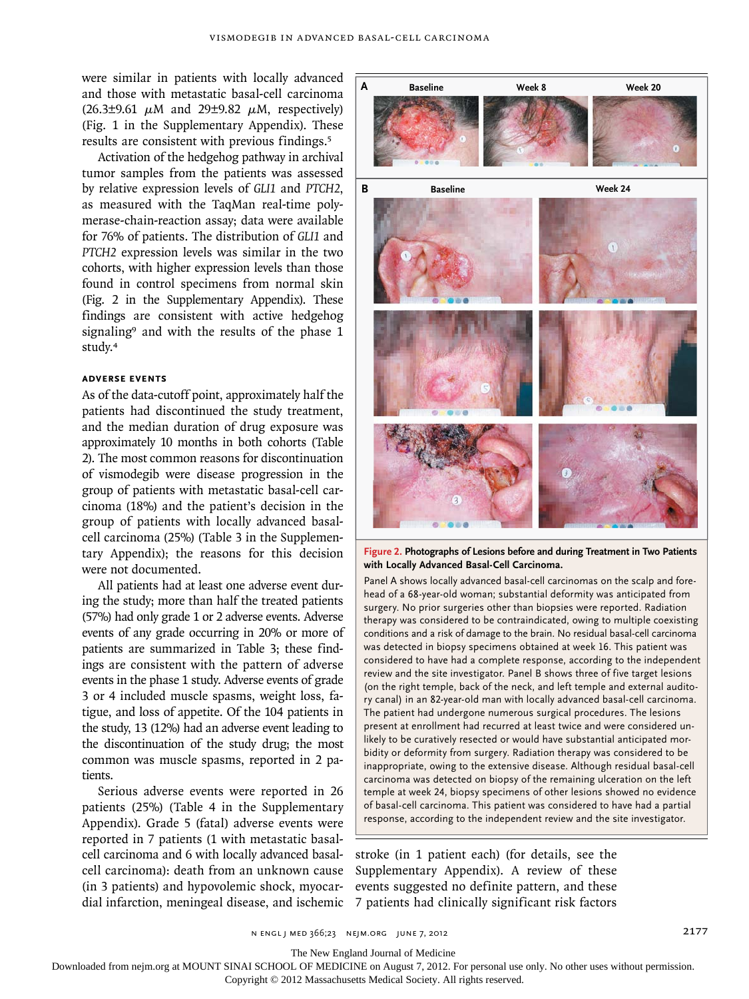were similar in patients with locally advanced and those with metastatic basal-cell carcinoma  $(26.3\pm9.61 \mu M \text{ and } 29\pm9.82 \mu M, \text{ respectively})$ (Fig. 1 in the Supplementary Appendix). These results are consistent with previous findings.<sup>5</sup>

Activation of the hedgehog pathway in archival tumor samples from the patients was assessed by relative expression levels of *GLI1* and *PTCH2*, as measured with the TaqMan real-time polymerase-chain-reaction assay; data were available for 76% of patients. The distribution of *GLI1* and *PTCH2* expression levels was similar in the two cohorts, with higher expression levels than those found in control specimens from normal skin (Fig. 2 in the Supplementary Appendix). These findings are consistent with active hedgehog signaling<sup>9</sup> and with the results of the phase 1 study.<sup>4</sup>

#### **ADVERSE EVENTS**

As of the data-cutoff point, approximately half the patients had discontinued the study treatment, and the median duration of drug exposure was approximately 10 months in both cohorts (Table 2). The most common reasons for discontinuation of vismodegib were disease progression in the group of patients with metastatic basal-cell carcinoma (18%) and the patient's decision in the group of patients with locally advanced basalcell carcinoma (25%) (Table 3 in the Supplementary Appendix); the reasons for this decision were not documented.

All patients had at least one adverse event during the study; more than half the treated patients (57%) had only grade 1 or 2 adverse events. Adverse events of any grade occurring in 20% or more of patients are summarized in Table 3; these findings are consistent with the pattern of adverse events in the phase 1 study. Adverse events of grade 3 or 4 included muscle spasms, weight loss, fatigue, and loss of appetite. Of the 104 patients in the study, 13 (12%) had an adverse event leading to the discontinuation of the study drug; the most common was muscle spasms, reported in 2 patients.

Serious adverse events were reported in 26 patients (25%) (Table 4 in the Supplementary Appendix). Grade 5 (fatal) adverse events were reported in 7 patients (1 with metastatic basalcell carcinoma and 6 with locally advanced basalcell carcinoma): death from an unknown cause (in 3 patients) and hypovolemic shock, myocardial infarction, meningeal disease, and ischemic



**Figure 2. Photographs of Lesions before and during Treatment in Two Patients with Locally Advanced Basal-Cell Carcinoma.**

Panel A shows locally advanced basal-cell carcinomas on the scalp and forehead of a 68-year-old woman; substantial deformity was anticipated from surgery. No prior surgeries other than biopsies were reported. Radiation therapy was considered to be contraindicated, owing to multiple coexisting conditions and a risk of damage to the brain. No residual basal-cell carcinoma was detected in biopsy specimens obtained at week 16. This patient was considered to have had a complete response, according to the independent review and the site investigator. Panel B shows three of five target lesions (on the right temple, back of the neck, and left temple and external auditory canal) in an 82-year-old man with locally advanced basal-cell carcinoma. The patient had undergone numerous surgical procedures. The lesions present at enrollment had recurred at least twice and were considered unlikely to be curatively resected or would have substantial anticipated morbidity or deformity from surgery. Radiation therapy was considered to be inappropriate, owing to the extensive disease. Although residual basal-cell carcinoma was detected on biopsy of the remaining ulceration on the left temple at week 24, biopsy specimens of other lesions showed no evidence of basal-cell carcinoma. This patient was considered to have had a partial response, according to the independent review and the site investigator.

stroke (in 1 patient each) (for details, see the Supplementary Appendix). A review of these events suggested no definite pattern, and these 7 patients had clinically significant risk factors

n engl j med 366;23 nejm.org june 7, 2012 2177

The New England Journal of Medicine

Downloaded from nejm.org at MOUNT SINAI SCHOOL OF MEDICINE on August 7, 2012. For personal use only. No other uses without permission.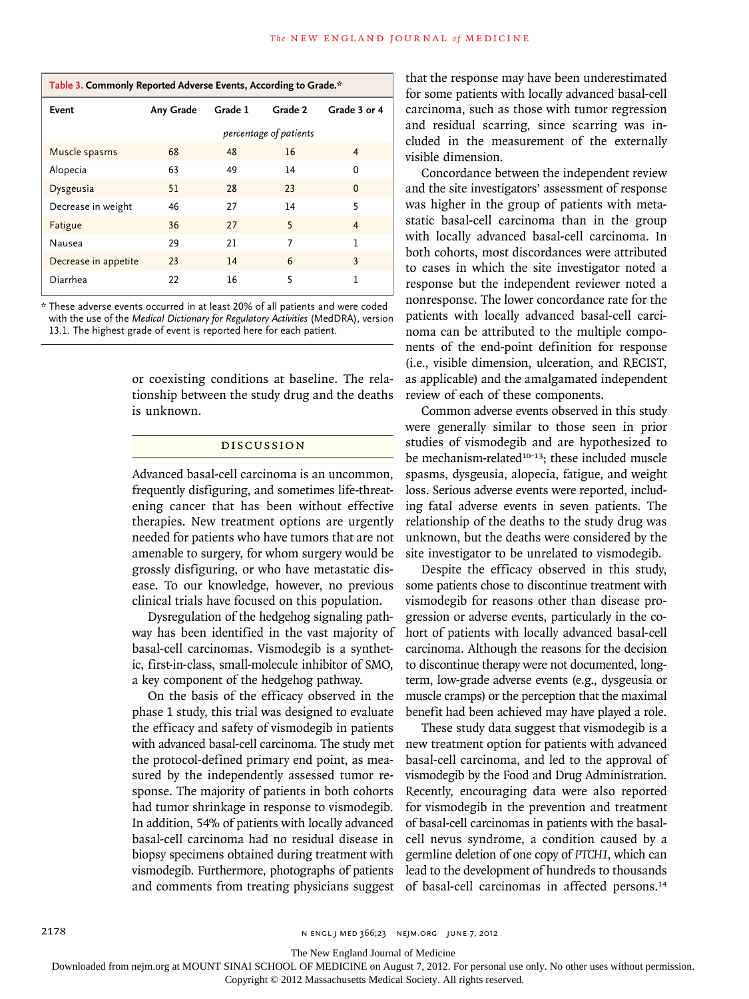| Table 3. Commonly Reported Adverse Events, According to Grade.* |                        |         |         |                  |  |  |  |
|-----------------------------------------------------------------|------------------------|---------|---------|------------------|--|--|--|
| Event                                                           | Any Grade              | Grade 1 | Grade 2 | Grade 3 or 4     |  |  |  |
|                                                                 | percentage of patients |         |         |                  |  |  |  |
| Muscle spasms                                                   | 68                     | 48      | 16      | $\boldsymbol{4}$ |  |  |  |
| Alopecia                                                        | 63                     | 49      | 14      | O                |  |  |  |
| Dysgeusia                                                       | 51                     | 28      | 23      | $\Omega$         |  |  |  |
| Decrease in weight                                              | 46                     | 27      | 14      | 5                |  |  |  |
| Fatigue                                                         | 36                     | 27      | 5       | $\overline{4}$   |  |  |  |
| Nausea                                                          | 29                     | 21      | 7       | ı                |  |  |  |
| Decrease in appetite                                            | 23                     | 14      | 6       | 3                |  |  |  |
| Diarrhea                                                        | 22                     | 16      | 5       | 1                |  |  |  |

\* These adverse events occurred in at least 20% of all patients and were coded with the use of the *Medical Dictionary for Regulatory Activities* (MedDRA), version 13.1. The highest grade of event is reported here for each patient.

> or coexisting conditions at baseline. The relationship between the study drug and the deaths is unknown.

## DISCUSSION

Advanced basal-cell carcinoma is an uncommon, frequently disfiguring, and sometimes life-threatening cancer that has been without effective therapies. New treatment options are urgently needed for patients who have tumors that are not amenable to surgery, for whom surgery would be grossly disfiguring, or who have metastatic disease. To our knowledge, however, no previous clinical trials have focused on this population.

Dysregulation of the hedgehog signaling pathway has been identified in the vast majority of basal-cell carcinomas. Vismodegib is a synthetic, first-in-class, small-molecule inhibitor of SMO, a key component of the hedgehog pathway.

On the basis of the efficacy observed in the phase 1 study, this trial was designed to evaluate the efficacy and safety of vismodegib in patients with advanced basal-cell carcinoma. The study met the protocol-defined primary end point, as measured by the independently assessed tumor response. The majority of patients in both cohorts had tumor shrinkage in response to vismodegib. In addition, 54% of patients with locally advanced basal-cell carcinoma had no residual disease in biopsy specimens obtained during treatment with vismodegib. Furthermore, photographs of patients and comments from treating physicians suggest that the response may have been underestimated for some patients with locally advanced basal-cell carcinoma, such as those with tumor regression and residual scarring, since scarring was included in the measurement of the externally visible dimension.

Concordance between the independent review and the site investigators' assessment of response was higher in the group of patients with metastatic basal-cell carcinoma than in the group with locally advanced basal-cell carcinoma. In both cohorts, most discordances were attributed to cases in which the site investigator noted a response but the independent reviewer noted a nonresponse. The lower concordance rate for the patients with locally advanced basal-cell carcinoma can be attributed to the multiple components of the end-point definition for response (i.e., visible dimension, ulceration, and RECIST, as applicable) and the amalgamated independent review of each of these components.

Common adverse events observed in this study were generally similar to those seen in prior studies of vismodegib and are hypothesized to be mechanism-related<sup>10-13</sup>; these included muscle spasms, dysgeusia, alopecia, fatigue, and weight loss. Serious adverse events were reported, including fatal adverse events in seven patients. The relationship of the deaths to the study drug was unknown, but the deaths were considered by the site investigator to be unrelated to vismodegib.

Despite the efficacy observed in this study, some patients chose to discontinue treatment with vismodegib for reasons other than disease progression or adverse events, particularly in the cohort of patients with locally advanced basal-cell carcinoma. Although the reasons for the decision to discontinue therapy were not documented, longterm, low-grade adverse events (e.g., dysgeusia or muscle cramps) or the perception that the maximal benefit had been achieved may have played a role.

These study data suggest that vismodegib is a new treatment option for patients with advanced basal-cell carcinoma, and led to the approval of vismodegib by the Food and Drug Administration. Recently, encouraging data were also reported for vismodegib in the prevention and treatment of basal-cell carcinomas in patients with the basalcell nevus syndrome, a condition caused by a germline deletion of one copy of *PTCH1*, which can lead to the development of hundreds to thousands of basal-cell carcinomas in affected persons.<sup>14</sup>

The New England Journal of Medicine

Downloaded from nejm.org at MOUNT SINAI SCHOOL OF MEDICINE on August 7, 2012. For personal use only. No other uses without permission.